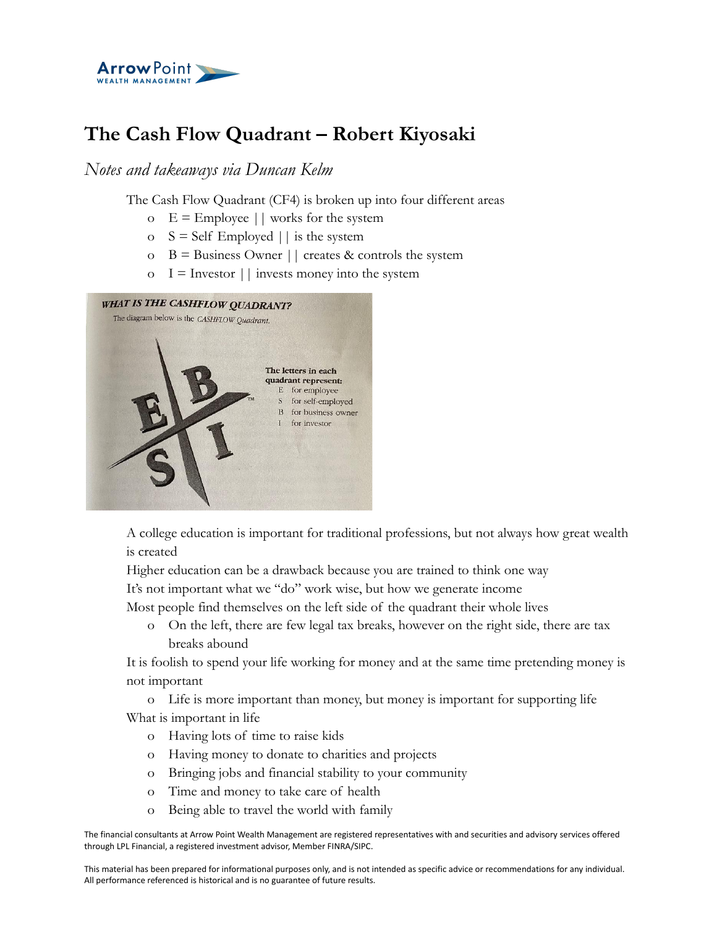

## **The Cash Flow Quadrant – Robert Kiyosaki**

*Notes and takeaways via Duncan Kelm*

The Cash Flow Quadrant (CF4) is broken up into four different areas

- o  $E =$  Employee  $||$  works for the system
- o  $S = \text{Self}$  Employed  $\vert \vert$  is the system
- $\circ$  B = Business Owner || creates & controls the system
- $\circ$  I = Investor || invests money into the system



A college education is important for traditional professions, but not always how great wealth is created

Higher education can be a drawback because you are trained to think one way

It's not important what we "do" work wise, but how we generate income

Most people find themselves on the left side of the quadrant their whole lives

o On the left, there are few legal tax breaks, however on the right side, there are tax breaks abound

It is foolish to spend your life working for money and at the same time pretending money is not important

o Life is more important than money, but money is important for supporting life What is important in life

- o Having lots of time to raise kids
- o Having money to donate to charities and projects
- o Bringing jobs and financial stability to your community
- o Time and money to take care of health
- o Being able to travel the world with family

The financial consultants at Arrow Point Wealth Management are registered representatives with and securities and advisory services offered through LPL Financial, a registered investment advisor, Member FINRA/SIPC.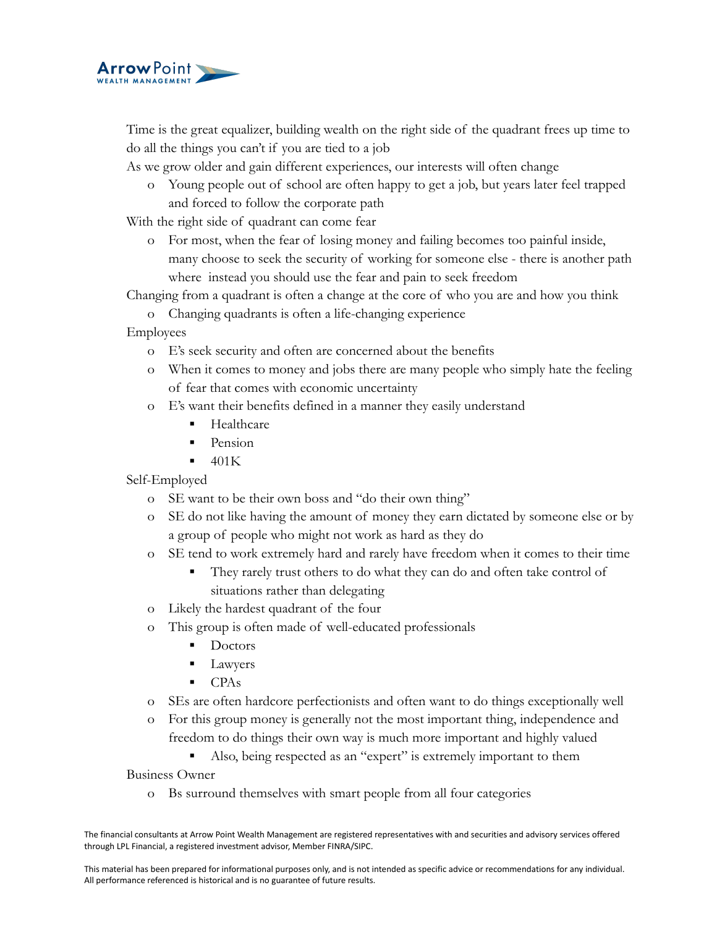

Time is the great equalizer, building wealth on the right side of the quadrant frees up time to do all the things you can't if you are tied to a job

As we grow older and gain different experiences, our interests will often change

o Young people out of school are often happy to get a job, but years later feel trapped and forced to follow the corporate path

With the right side of quadrant can come fear

o For most, when the fear of losing money and failing becomes too painful inside, many choose to seek the security of working for someone else - there is another path where instead you should use the fear and pain to seek freedom

Changing from a quadrant is often a change at the core of who you are and how you think

o Changing quadrants is often a life-changing experience

Employees

- o E's seek security and often are concerned about the benefits
- o When it comes to money and jobs there are many people who simply hate the feeling of fear that comes with economic uncertainty
- o E's want their benefits defined in a manner they easily understand
	- **Healthcare**
	- $\blacksquare$  Pension
	- $\blacksquare$  401K

Self-Employed

- o SE want to be their own boss and "do their own thing"
- o SE do not like having the amount of money they earn dictated by someone else or by a group of people who might not work as hard as they do
- o SE tend to work extremely hard and rarely have freedom when it comes to their time
	- They rarely trust others to do what they can do and often take control of situations rather than delegating
- o Likely the hardest quadrant of the four
- o This group is often made of well-educated professionals
	- Doctors
	- Lawyers
	- CPAs
- o SEs are often hardcore perfectionists and often want to do things exceptionally well
- o For this group money is generally not the most important thing, independence and freedom to do things their own way is much more important and highly valued
	- Also, being respected as an "expert" is extremely important to them

Business Owner

o Bs surround themselves with smart people from all four categories

The financial consultants at Arrow Point Wealth Management are registered representatives with and securities and advisory services offered through LPL Financial, a registered investment advisor, Member FINRA/SIPC.

This material has been prepared for informational purposes only, and is not intended as specific advice or recommendations for any individual. All performance referenced is historical and is no guarantee of future results.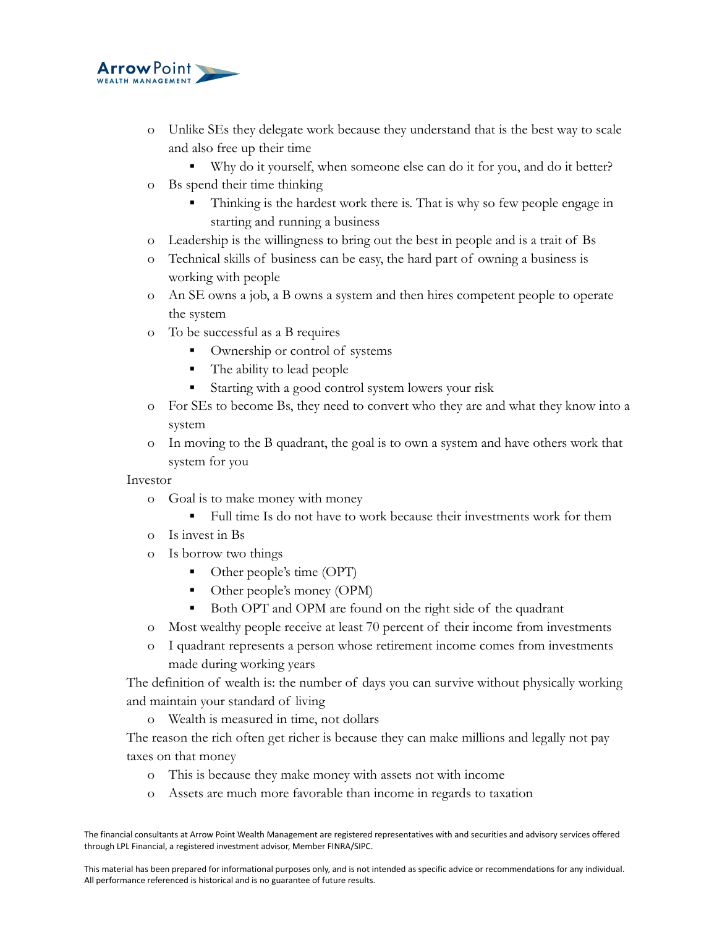

- o Unlike SEs they delegate work because they understand that is the best way to scale and also free up their time
	- Why do it yourself, when someone else can do it for you, and do it better?
- o Bs spend their time thinking
	- Thinking is the hardest work there is. That is why so few people engage in starting and running a business
- o Leadership is the willingness to bring out the best in people and is a trait of Bs
- o Technical skills of business can be easy, the hard part of owning a business is working with people
- o An SE owns a job, a B owns a system and then hires competent people to operate the system
- o To be successful as a B requires
	- Ownership or control of systems
	- The ability to lead people
	- Starting with a good control system lowers your risk
- o For SEs to become Bs, they need to convert who they are and what they know into a system
- o In moving to the B quadrant, the goal is to own a system and have others work that system for you

Investor

- o Goal is to make money with money
	- Full time Is do not have to work because their investments work for them
- o Is invest in Bs
- o Is borrow two things
	- Other people's time (OPT)
	- Other people's money (OPM)
	- Both OPT and OPM are found on the right side of the quadrant
- o Most wealthy people receive at least 70 percent of their income from investments
- o I quadrant represents a person whose retirement income comes from investments made during working years

The definition of wealth is: the number of days you can survive without physically working and maintain your standard of living

o Wealth is measured in time, not dollars

The reason the rich often get richer is because they can make millions and legally not pay taxes on that money

- o This is because they make money with assets not with income
- o Assets are much more favorable than income in regards to taxation

The financial consultants at Arrow Point Wealth Management are registered representatives with and securities and advisory services offered through LPL Financial, a registered investment advisor, Member FINRA/SIPC.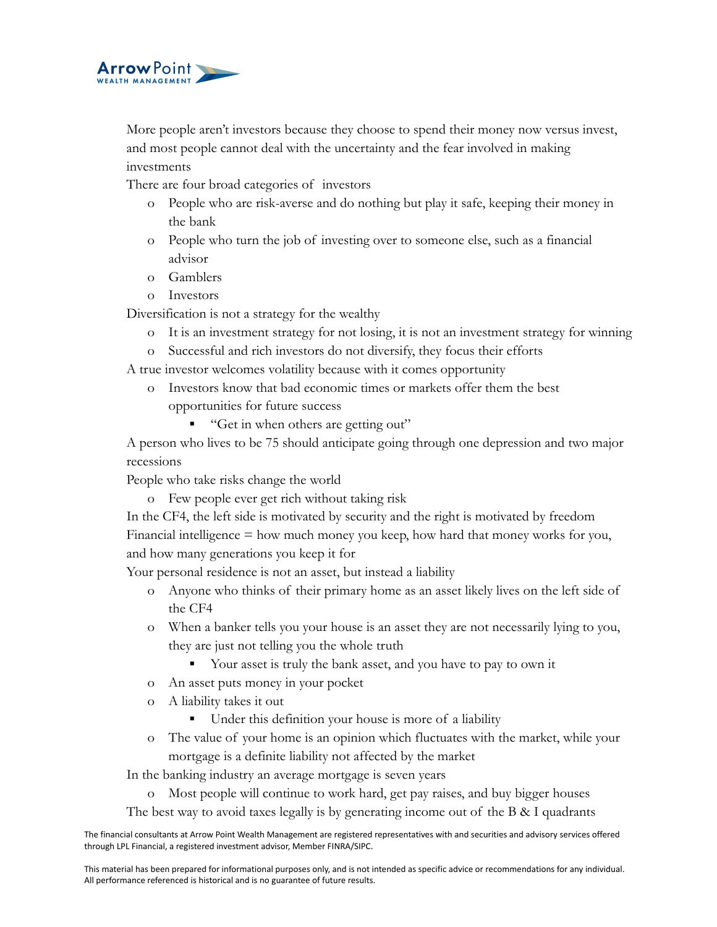

More people aren't investors because they choose to spend their money now versus invest, and most people cannot deal with the uncertainty and the fear involved in making investments

There are four broad categories of investors

- o People who are risk-averse and do nothing but play it safe, keeping their money in the bank
- o People who turn the job of investing over to someone else, such as a financial advisor
- o Gamblers
- o Investors

Diversification is not a strategy for the wealthy

- o It is an investment strategy for not losing, it is not an investment strategy for winning
- o Successful and rich investors do not diversify, they focus their efforts

A true investor welcomes volatility because with it comes opportunity

- o Investors know that bad economic times or markets offer them the best opportunities for future success
	- "Get in when others are getting out"

A person who lives to be 75 should anticipate going through one depression and two major recessions

People who take risks change the world

o Few people ever get rich without taking risk

In the CF4, the left side is motivated by security and the right is motivated by freedom Financial intelligence = how much money you keep, how hard that money works for you, and how many generations you keep it for

Your personal residence is not an asset, but instead a liability

- o Anyone who thinks of their primary home as an asset likely lives on the left side of the CF4
- o When a banker tells you your house is an asset they are not necessarily lying to you, they are just not telling you the whole truth
	- Your asset is truly the bank asset, and you have to pay to own it
- o An asset puts money in your pocket
- o A liability takes it out
	- Under this definition your house is more of a liability
- o The value of your home is an opinion which fluctuates with the market, while your mortgage is a definite liability not affected by the market

In the banking industry an average mortgage is seven years

- o Most people will continue to work hard, get pay raises, and buy bigger houses
- The best way to avoid taxes legally is by generating income out of the B  $\&$  I quadrants

The financial consultants at Arrow Point Wealth Management are registered representatives with and securities and advisory services offered through LPL Financial, a registered investment advisor, Member FINRA/SIPC.

This material has been prepared for informational purposes only, and is not intended as specific advice or recommendations for any individual. All performance referenced is historical and is no guarantee of future results.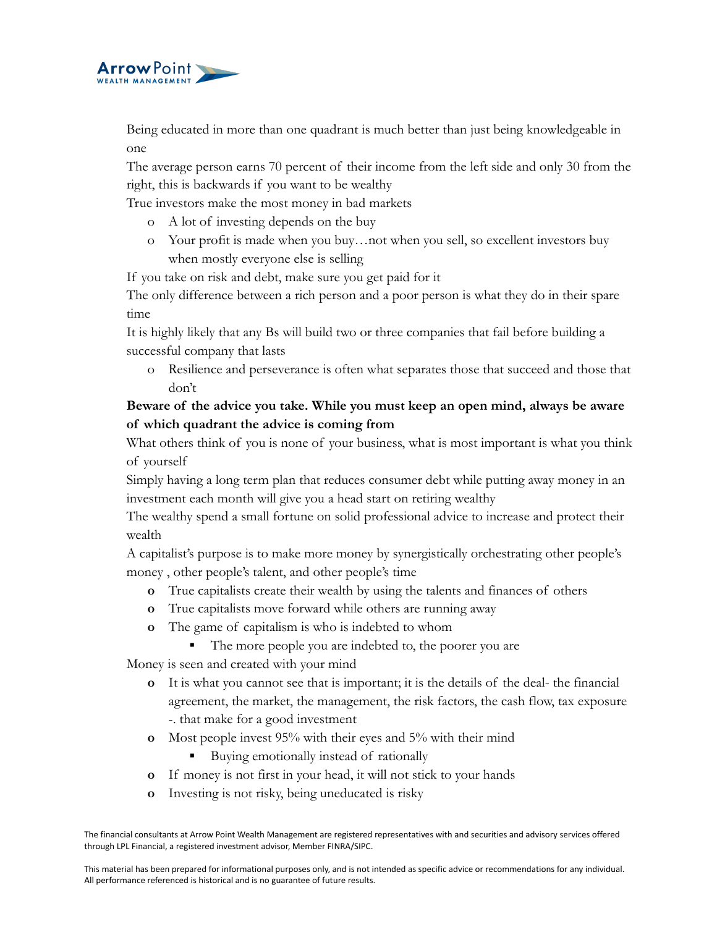

Being educated in more than one quadrant is much better than just being knowledgeable in one

The average person earns 70 percent of their income from the left side and only 30 from the right, this is backwards if you want to be wealthy

True investors make the most money in bad markets

- o A lot of investing depends on the buy
- o Your profit is made when you buy…not when you sell, so excellent investors buy when mostly everyone else is selling

If you take on risk and debt, make sure you get paid for it

The only difference between a rich person and a poor person is what they do in their spare time

It is highly likely that any Bs will build two or three companies that fail before building a successful company that lasts

o Resilience and perseverance is often what separates those that succeed and those that don't

## **Beware of the advice you take. While you must keep an open mind, always be aware of which quadrant the advice is coming from**

What others think of you is none of your business, what is most important is what you think of yourself

Simply having a long term plan that reduces consumer debt while putting away money in an investment each month will give you a head start on retiring wealthy

The wealthy spend a small fortune on solid professional advice to increase and protect their wealth

A capitalist's purpose is to make more money by synergistically orchestrating other people's money , other people's talent, and other people's time

- **o** True capitalists create their wealth by using the talents and finances of others
- **o** True capitalists move forward while others are running away
- **o** The game of capitalism is who is indebted to whom
	- The more people you are indebted to, the poorer you are

Money is seen and created with your mind

- **o** It is what you cannot see that is important; it is the details of the deal- the financial agreement, the market, the management, the risk factors, the cash flow, tax exposure -. that make for a good investment
- **o** Most people invest 95% with their eyes and 5% with their mind
	- Buying emotionally instead of rationally
- **o** If money is not first in your head, it will not stick to your hands
- **o** Investing is not risky, being uneducated is risky

The financial consultants at Arrow Point Wealth Management are registered representatives with and securities and advisory services offered through LPL Financial, a registered investment advisor, Member FINRA/SIPC.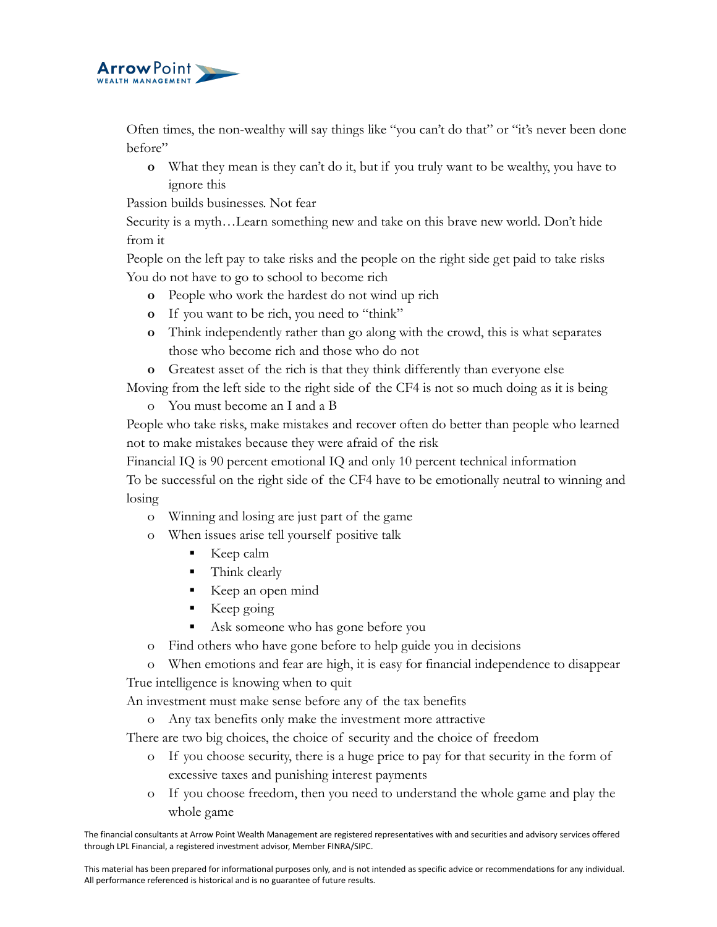

Often times, the non-wealthy will say things like "you can't do that" or "it's never been done before"

**o** What they mean is they can't do it, but if you truly want to be wealthy, you have to ignore this

Passion builds businesses. Not fear

Security is a myth…Learn something new and take on this brave new world. Don't hide from it

People on the left pay to take risks and the people on the right side get paid to take risks You do not have to go to school to become rich

- **o** People who work the hardest do not wind up rich
- **o** If you want to be rich, you need to "think"
- **o** Think independently rather than go along with the crowd, this is what separates those who become rich and those who do not
- **o** Greatest asset of the rich is that they think differently than everyone else

Moving from the left side to the right side of the CF4 is not so much doing as it is being

o You must become an I and a B

People who take risks, make mistakes and recover often do better than people who learned not to make mistakes because they were afraid of the risk

Financial IQ is 90 percent emotional IQ and only 10 percent technical information To be successful on the right side of the CF4 have to be emotionally neutral to winning and losing

- o Winning and losing are just part of the game
- o When issues arise tell yourself positive talk
	- Keep calm
	- **•** Think clearly
	- Keep an open mind
	- $\blacksquare$  Keep going
	- Ask someone who has gone before you
- o Find others who have gone before to help guide you in decisions
- o When emotions and fear are high, it is easy for financial independence to disappear True intelligence is knowing when to quit

An investment must make sense before any of the tax benefits

o Any tax benefits only make the investment more attractive

There are two big choices, the choice of security and the choice of freedom

- o If you choose security, there is a huge price to pay for that security in the form of excessive taxes and punishing interest payments
- o If you choose freedom, then you need to understand the whole game and play the whole game

The financial consultants at Arrow Point Wealth Management are registered representatives with and securities and advisory services offered through LPL Financial, a registered investment advisor, Member FINRA/SIPC.